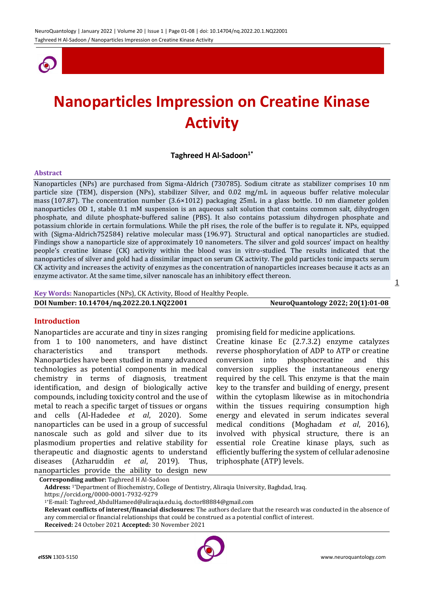

# **Nanoparticles Impression on Creatine Kinase Activity**

## **Taghreed H Al-Sadoon1\***

#### **Abstract**

Nanoparticles (NPs) are purchased from Sigma-Aldrich (730785). Sodium citrate as stabilizer comprises 10 nm particle size (TEM), dispersion (NPs), stabilizer Silver, and 0.02 mg/mL in aqueous buffer relative molecular mass (107.87). The concentration number (3.6×1012) packaging 25mL in a glass bottle. 10 nm diameter golden nanoparticles OD 1, stable 0.1 mM suspension is an aqueous salt solution that contains common salt, dihydrogen phosphate, and dilute phosphate-buffered saline (PBS). It also contains potassium dihydrogen phosphate and potassium chloride in certain formulations. While the pH rises, the role of the buffer is to regulate it. NPs, equipped with (Sigma-Aldrich752584) relative molecular mass (196.97). Structural and optical nanoparticles are studied. Findings show a nanoparticle size of approximately 10 nanometers. The silver and gold sources' impact on healthy people's creatine kinase (CK) activity within the blood was in vitro-studied. The results indicated that the nanoparticles of silver and gold had a dissimilar impact on serum CK activity. The gold particles tonic impacts serum CK activity and increases the activity of enzymes as the concentration of nanoparticles increases because it acts as an enzyme activator. At the same time, silver nanoscale has an inhibitory effect thereon.

#### **Key Words:** Nanoparticles (NPs), CK Activity, Blood of Healthy People.

| DOI Number: 10.14704/nq.2022.20.1.NQ22001 | NeuroQuantology 2022; 20(1):01-08 |
|-------------------------------------------|-----------------------------------|
|                                           |                                   |

## **Introduction**

Nanoparticles are accurate and tiny in sizes ranging from 1 to 100 nanometers, and have distinct characteristics and transport methods. Nanoparticles have been studied in many advanced technologies as potential components in medical chemistry in terms of diagnosis, treatment identification, and design of biologically active compounds, including toxicity control and the use of metal to reach a specific target of tissues or organs and cells (Al-Hadedee *et al*, 2020). Some nanoparticles can be used in a group of successful nanoscale such as gold and silver due to its plasmodium properties and relative stability for therapeutic and diagnostic agents to understand diseases (Azharuddin *et al*, 2019). Thus, nanoparticles provide the ability to design new

promising field for medicine applications.

Creatine kinase Ec (2.7.3.2) enzyme catalyzes reverse phosphorylation of ADP to ATP or creatine conversion into phosphocreatine and this conversion supplies the instantaneous energy required by the cell. This enzyme is that the main key to the transfer and building of energy, present within the cytoplasm likewise as in mitochondria within the tissues requiring consumption high energy and elevated in serum indicates several medical conditions (Moghadam *et al*, 2016), involved with physical structure, there is an essential role Creatine kinase plays, such as efficiently buffering the system of cellular adenosine triphosphate (ATP) levels.

**Corresponding author:** Taghreed H Al-Sadoon

**Address:** 1\*Department of Biochemistry, College of Dentistry, Aliraqia University, Baghdad, Iraq. https://orcid.org/0000-0001-7932-9279

1\*E-mail: Taghreed\_AbdulHameed@aliraqia.edu.iq, doctor88884@gmail.com

**Relevant conflicts of interest/financial disclosures:** The authors declare that the research was conducted in the absence of any commercial or financial relationships that could be construed as a potential conflict of interest.

**Received:** 24 October 2021 **Accepted:** 30 November 2021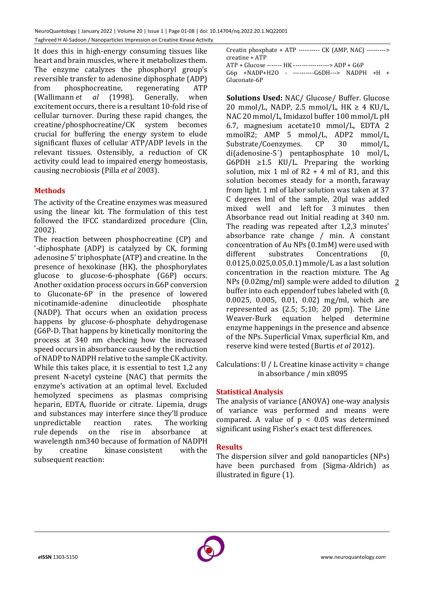It does this in high-energy consuming tissues like heart and brain muscles, where it metabolizes them. The enzyme catalyzes the phosphoryl group's reversible transfer to adenosine diphosphate (ADP) from phosphocreatine, regenerating ATP (Wallimann *et al* (1998). Generally, when excitement occurs, there is a resultant 10-fold rise of cellular turnover. During these rapid changes, the creatine/phosphocreatine/CK system becomes crucial for buffering the energy system to elude significant fluxes of cellular ATP/ADP levels in the relevant tissues. Ostensibly, a reduction of CK activity could lead to impaired energy homeostasis, causing necrobiosis (Pilla *et al* 2003).

# **Methods**

The activity of the Creatine enzymes was measured using the linear kit. The formulation of this test followed the IFCC standardized procedure (Clin, 2002).

The reaction between phosphocreatine (CP) and '-diphosphate (ADP) is catalyzed by CK, forming adenosine 5' triphosphate (ATP) and creatine. In the presence of hexokinase (HK), the phosphorylates glucose to glucose-6-phosphate (G6P) occurs. Another oxidation process occurs in G6P conversion to Gluconate-6P in the presence of lowered nicotinamide-adenine dinucleotide phosphate (NADP). That occurs when an oxidation process happens by glucose-6-phosphate dehydrogenase (G6P-D. That happens by kinetically monitoring the process at 340 nm checking how the increased speed occurs in absorbance caused by the reduction of NADP to NADPH relative to the sample CK activity. While this takes place, it is essential to test 1,2 any present N-acetyl cysteine (NAC) that permits the enzyme's activation at an optimal level. Excluded hemolyzed specimens as plasmas comprising heparin, EDTA, fluoride or citrate. Lipemia, drugs and substances may interfere since they'll produce unpredictable reaction rates. The working rule depends on the rise in absorbance at wavelength nm340 because of formation of NADPH by creatine kinase consistent with the subsequent reaction:

Creatin phosphate + ATP ---------- CK (AMP, NAC) ---------> creatine + ATP ATP + Glucose ------- HK -----------------> ADP + G6P G6p +NADP+H2O - ----------G6DH---> NADPH +H + Gluconate-6P

NPs (0.02mg/ml) sample were added to dilution  $2$ **Solutions Used:** NAC/ Glucose/ Buffer. Glucose 20 mmol/L, NADP, 2.5 mmol/L,  $HK \geq 4$  KU/L, NAC 20 mmol/L, Imidazol buffer 100 mmol/L pH 6.7, magnesium acetate10 mmol/L, EDTA 2 mmolR2; AMP 5 mmol/L, ADP2 mmol/L, Substrate/Coenzymes. CP 30 mmol/L, di(adenosine-5´) pentaphosphate 10 mol/L, G6PDH  $\geq 1.5$  KU/L. Preparing the working solution, mix 1 ml of  $R2 + 4$  ml of R1, and this solution becomes steady for a month, faraway from light. 1 ml of labor solution was taken at 37 C degrees lml of the sample, 20µl was added mixed well and left for 3 minutes then Absorbance read out Initial reading at 340 nm. The reading was repeated after 1,2,3 minutes' absorbance rate change / min. A constant concentration of Au NPs (0.1mM) were used with different substrates Concentrations (0, 0.0125,0.025,0.05,0.1) mmole/L as a last solution concentration in the reaction mixture. The Ag buffer into each eppendorf tubes labeled with (0, 0.0025, 0.005, 0.01, 0.02) mg/ml, which are represented as (2.5; 5;10; 20 ppm). The Line Weaver-Burk equation helped determine enzyme happenings in the presence and absence of the NPs. Superficial Vmax, superficial Km, and reserve kind were tested (Burtis *et al* 2012).

Calculations: U / L Creatine kinase activity = change in absorbance / min x8095

# **Statistical Analysis**

The analysis of variance (ANOVA) one-way analysis of variance was performed and means were compared. A value of  $p < 0.05$  was determined significant using Fisher's exact test differences.

## **Results**

The dispersion silver and gold nanoparticles (NPs) have been purchased from (Sigma-Aldrich) as illustrated in figure (1).

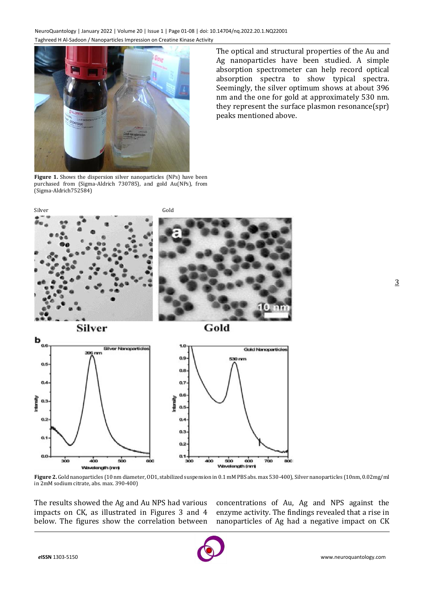

Figure 1. Shows the dispersion silver nanoparticles (NPs) have been purchased from (Sigma-Aldrich 730785), and gold Au(NPs), from (Sigma-Aldrich752584)

The optical and structural properties of the Au and Ag nanoparticles have been studied. A simple absorption spectrometer can help record optical absorption spectra to show typical spectra. Seemingly, the silver optimum shows at about 396 nm and the one for gold at approximately 530 nm. they represent the surface plasmon resonance(spr) peaks mentioned above.



**Figure 2.** Gold nanoparticles (10 nm diameter, OD1, stabilized suspension in 0.1 mM PBS abs. max 530-400), Silver nanoparticles (10nm, 0.02mg/ml in 2mM sodium citrate, abs. max. 390-400)

The results showed the Ag and Au NPS had various impacts on CK, as illustrated in Figures 3 and 4 below. The figures show the correlation between

concentrations of Au, Ag and NPS against the enzyme activity. The findings revealed that a rise in nanoparticles of Ag had a negative impact on CK

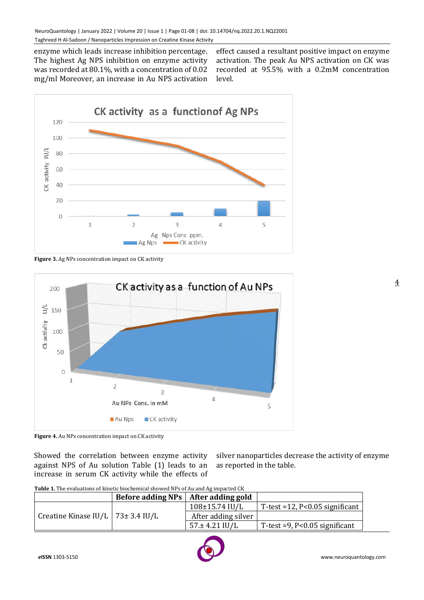enzyme which leads increase inhibition percentage. The highest Ag NPS inhibition on enzyme activity was recorded at 80.1%, with a concentration of 0.02 mg/ml Moreover, an increase in Au NPS activation

effect caused a resultant positive impact on enzyme activation. The peak Au NPS activation on CK was recorded at 95.5% with a 0.2mM concentration level.



**Figure 3.** Ag NPs concentration impact on CK activity



**Figure 4.** Au NPs concentration impact on CK activity

Showed the correlation between enzyme activity against NPS of Au solution Table (1) leads to an increase in serum CK activity while the effects of

silver nanoparticles decrease the activity of enzyme as reported in the table.

| <b>Table 1.</b> The evaluations of kinetic biochemical showed NPs of Au and Ag impacted CK |  |
|--------------------------------------------------------------------------------------------|--|
|                                                                                            |  |

|                                     | Before adding $NPs$ After adding gold |                              |                                       |
|-------------------------------------|---------------------------------------|------------------------------|---------------------------------------|
| Creatine Kinase IU/L   73± 3.4 IU/L |                                       | $108 \pm 15.74 \text{ IU/L}$ | T-test = $12$ , P< $0.05$ significant |
|                                     |                                       | After adding silver          |                                       |
|                                     |                                       | $57 \pm 4.21$ IU/L           | T-test $=9$ , P<0.05 significant      |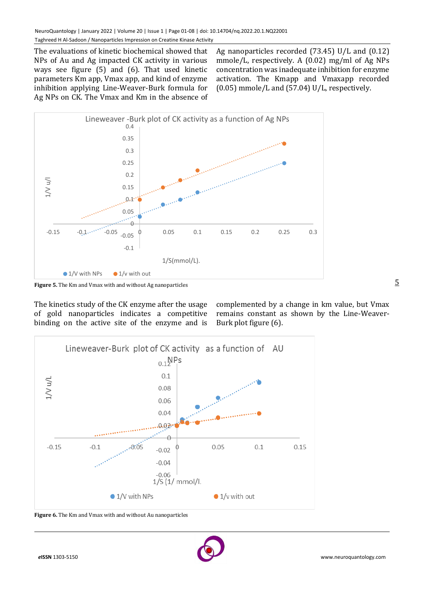The evaluations of kinetic biochemical showed that NPs of Au and Ag impacted CK activity in various ways see figure (5) and (6). That used kinetic parameters Km app, Vmax app, and kind of enzyme inhibition applying Line-Weaver-Burk formula for Ag NPs on CK. The Vmax and Km in the absence of

Ag nanoparticles recorded (73.45) U/L and (0.12) mmole/L, respectively. A (0.02) mg/ml of Ag NPs concentration was inadequate inhibition for enzyme activation. The Kmapp and Vmaxapp recorded (0.05) mmole/L and (57.04) U/L, respectively.



**Figure 5.** The Km and Vmax with and without Ag nanoparticles

The kinetics study of the CK enzyme after the usage of gold nanoparticles indicates a competitive binding on the active site of the enzyme and is

complemented by a change in km value, but Vmax remains constant as shown by the Line-Weaver-Burk plot figure (6).



**Figure 6.** The Km and Vmax with and without Au nanoparticles

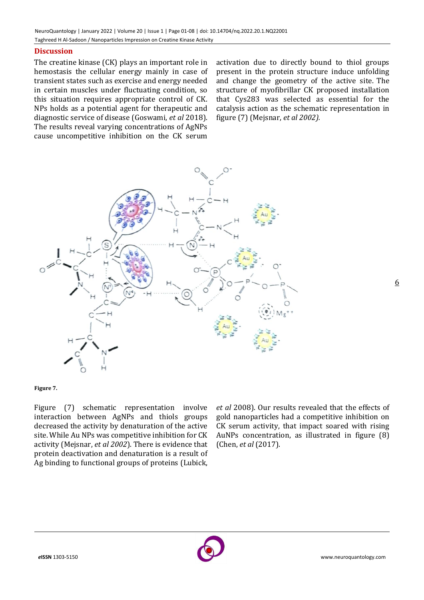## **Discussion**

The creatine kinase (CK) plays an important role in hemostasis the cellular energy mainly in case of transient states such as exercise and energy needed in certain muscles under fluctuating condition, so this situation requires appropriate control of CK. NPs holds as a potential agent for therapeutic and diagnostic service of disease (Goswami, *et al* 2018). The results reveal varying concentrations of AgNPs cause uncompetitive inhibition on the CK serum activation due to directly bound to thiol groups present in the protein structure induce unfolding and change the geometry of the active site. The structure of myofibrillar CK proposed installation that Cys283 was selected as essential for the catalysis action as the schematic representation in figure (7) (Mejsnar, *et al 2002).*



**Figure 7.**

Figure (7) schematic representation involve interaction between AgNPs and thiols groups decreased the activity by denaturation of the active site. While Au NPs was competitive inhibition for CK activity (Mejsnar, *et al 2002*). There is evidence that protein deactivation and denaturation is a result of Ag binding to functional groups of proteins (Lubick,

*et al* 2008). Our results revealed that the effects of gold nanoparticles had a competitive inhibition on CK serum activity, that impact soared with rising AuNPs concentration, as illustrated in figure (8) (Chen, *et al* (2017).

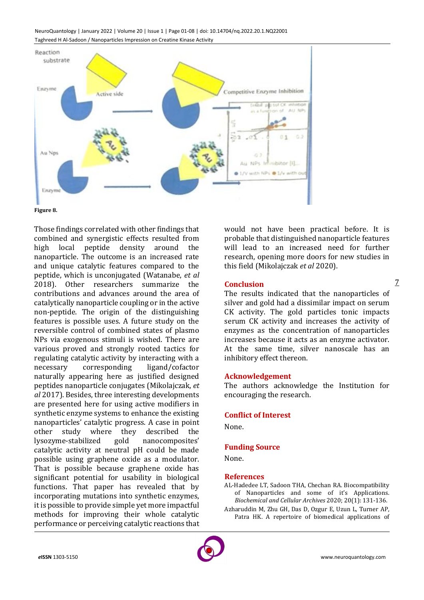NeuroQuantology | January 2022 | Volume 20 | Issue 1 | Page 01-08 | doi: 10.14704/nq.2022.20.1.NQ22001 Taghreed H Al-Sadoon / Nanoparticles Impression on Creatine Kinase Activity





Those findings correlated with other findings that combined and synergistic effects resulted from high local peptide density around the nanoparticle. The outcome is an increased rate and unique catalytic features compared to the peptide, which is unconjugated (Watanabe, *et al* 2018). Other researchers summarize the contributions and advances around the area of catalytically nanoparticle coupling or in the active non-peptide. The origin of the distinguishing features is possible uses. A future study on the reversible control of combined states of plasmo NPs via exogenous stimuli is wished. There are various proved and strongly rooted tactics for regulating catalytic activity by interacting with a necessary corresponding ligand/cofactor naturally appearing here as justified designed peptides nanoparticle conjugates (Mikolajczak, *et al* 2017). Besides, three interesting developments are presented here for using active modifiers in synthetic enzyme systems to enhance the existing nanoparticles' catalytic progress. A case in point other study where they described the lysozyme-stabilized gold nanocomposites' catalytic activity at neutral pH could be made possible using graphene oxide as a modulator. That is possible because graphene oxide has significant potential for usability in biological functions. That paper has revealed that by incorporating mutations into synthetic enzymes, it is possible to provide simple yet more impactful methods for improving their whole catalytic performance or perceiving catalytic reactions that

would not have been practical before. It is probable that distinguished nanoparticle features will lead to an increased need for further research, opening more doors for new studies in this field (Mikolajczak *et al* 2020).

## **Conclusion**

The results indicated that the nanoparticles of silver and gold had a dissimilar impact on serum CK activity. The gold particles tonic impacts serum CK activity and increases the activity of enzymes as the concentration of nanoparticles increases because it acts as an enzyme activator. At the same time, silver nanoscale has an inhibitory effect thereon.

## **Acknowledgement**

The authors acknowledge the Institution for encouraging the research.

## **Conflict of Interest**

None.

## **Funding Source**

None.

#### **References**

AL-Hadedee LT, Sadoon THA, Chechan RA. Biocompatibility of Nanoparticles and some of it's Applications. *Biochemical and Cellular Archives* 2020; 20(1): 131-136. Azharuddin M, Zhu GH, Das D, Ozgur E, Uzun L, Turner AP, Patra HK. A repertoire of biomedical applications of